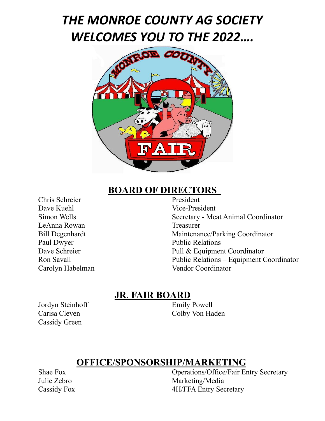## *THE MONROE COUNTY AG SOCIETY WELCOMES YOU TO THE 2022….*



# **BOARD OF DIRECTORS**

Chris Schreier Dave Kuehl Vice-President LeAnna Rowan Treasurer Paul Dwyer Public Relations Carolyn Habelman Vendor Coordinator

Simon Wells Secretary - Meat Animal Coordinator Bill Degenhardt Maintenance/Parking Coordinator Dave Schreier Pull & Equipment Coordinator Ron Savall Public Relations – Equipment Coordinator

#### **JR. FAIR BOARD**

Jordyn Steinhoff Emily Powell Cassidy Green

Carisa Cleven Colby Von Haden

#### **OFFICE/SPONSORSHIP/MARKETING**

Shae Fox Operations/Office/Fair Entry Secretary Julie Zebro Marketing/Media Cassidy Fox 4H/FFA Entry Secretary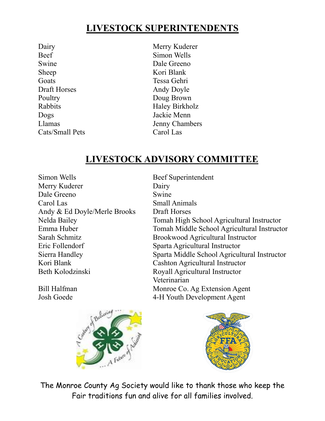#### **LIVESTOCK SUPERINTENDENTS**

Beef Simon Wells Swine Dale Greeno Sheep Kori Blank Goats Tessa Gehri Draft Horses Andy Doyle Poultry Doug Brown Dogs Jackie Menn Cats/Small Pets Carol Las

Dairy Merry Kuderer Rabbits Haley Birkholz Llamas Jenny Chambers

#### **LIVESTOCK ADVISORY COMMITTEE**

Simon Wells Beef Superintendent Merry Kuderer Dairy Dale Greeno Swine Carol Las Small Animals Andy & Ed Doyle/Merle Brooks Draft Horses Eric Follendorf Sparta Agricultural Instructor Kori Blank Cashton Agricultural Instructor Beth Kolodzinski<br>Royall Agricultural Instructor

Nelda Bailey Tomah High School Agricultural Instructor Emma Huber Tomah Middle School Agricultural Instructor Sarah Schmitz Brookwood Agricultural Instructor Sierra Handley Sparta Middle School Agricultural Instructor Veterinarian Bill Halfman Monroe Co. Ag Extension Agent Josh Goede 4-H Youth Development Agent





The Monroe County Ag Society would like to thank those who keep the Fair traditions fun and alive for all families involved.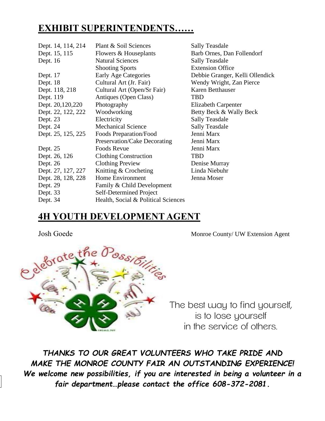#### **EXHIBIT SUPERINTENDENTS……**

| Dept. 14, 114, 214 | Plant & Soil Sciences               | <b>Sally Teasdale</b>           |
|--------------------|-------------------------------------|---------------------------------|
| Dept. 15, 115      | Flowers & Houseplants               | Barb Ornes, Dan Follendorf      |
| Dept. 16           | <b>Natural Sciences</b>             | <b>Sally Teasdale</b>           |
|                    | <b>Shooting Sports</b>              | <b>Extension Office</b>         |
| Dept. 17           | <b>Early Age Categories</b>         | Debbie Granger, Kelli Ollendick |
| Dept. 18           | Cultural Art (Jr. Fair)             | Wendy Wright, Zan Pierce        |
| Dept. 118, 218     | Cultural Art (Open/Sr Fair)         | Karen Betthauser                |
| Dept. 119          | Antiques (Open Class)               | <b>TBD</b>                      |
| Dept. 20,120,220   | Photography                         | <b>Elizabeth Carpenter</b>      |
| Dept. 22, 122, 222 | Woodworking                         | Betty Beck & Wally Beck         |
| Dept. 23           | Electricity                         | <b>Sally Teasdale</b>           |
| Dept. 24           | <b>Mechanical Science</b>           | <b>Sally Teasdale</b>           |
| Dept. 25, 125, 225 | Foods Preparation/Food              | Jenni Marx                      |
|                    | Preservation/Cake Decorating        | Jenni Marx                      |
| Dept. 25           | Foods Revue                         | Jenni Marx                      |
| Dept. 26, 126      | <b>Clothing Construction</b>        | <b>TBD</b>                      |
| Dept. 26           | <b>Clothing Preview</b>             | Denise Murray                   |
| Dept. 27, 127, 227 | Knitting & Crocheting               | Linda Niebuhr                   |
| Dept. 28, 128, 228 | Home Environment                    | Jenna Moser                     |
| Dept. 29           | Family & Child Development          |                                 |
| Dept. 33           | Self-Determined Project             |                                 |
| Dept. 34           | Health, Social & Political Sciences |                                 |

#### **4H YOUTH DEVELOPMENT AGENT**



The best way to find yourself, is to lose yourself in the service of others.

*THANKS TO OUR GREAT VOLUNTEERS WHO TAKE PRIDE AND MAKE THE MONROE COUNTY FAIR AN OUTSTANDING EXPERIENCE! We welcome new possibilities, if you are interested in being a volunteer in a fair department…please contact the office 608-372-2081.*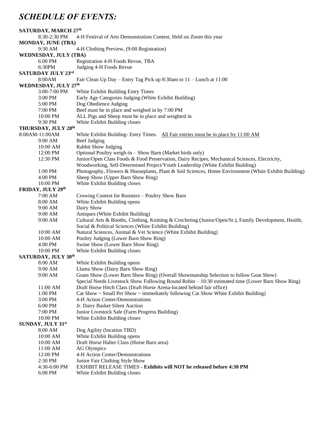#### *SCHEDULE OF EVENTS:*

| 8:30-2:30 PM<br>4-H Festival of Arts Demonstration Contest, Held on Zoom this year<br>MONDAY, JUNE (TBA)<br>9:30 AM<br>4-H Clothing Preview, (9:00 Registration)<br><b>WEDNESDAY, JULY (TBA)</b><br>6:00 PM<br>Registration 4-H Foods Revue, TBA<br>6:30PM<br>Judging 4-H Foods Revue<br>SATURDAY JULY 23rd<br>8:00AM<br>Fair Clean Up Day – Entry Tag Pick up 8:30am to 11 – Lunch at 11:00<br>WEDNESDAY, JULY 27th<br>3:00-7:00 PM<br>White Exhibit Building Entry Times<br>3:00 PM<br>Early Age Categories Judging (White Exhibit Building)<br>Dog Obedience Judging<br>5:00 PM<br>Beef must be in place and weighed in by 7:00 PM<br>7:00 PM<br>ALL Pigs and Sheep must be in place and weighted in<br>10:00 PM<br>White Exhibit Building closes<br>9:30 PM<br>THURSDAY, JULY 28th<br>8:00AM-11:00AM<br>White Exhibit Building-Entry Times. All Fair entries must be in place by 11:00 AM<br>Beef Judging<br>9:00 AM<br>10:00 AM<br>Rabbit Show Judging<br>12:00 PM<br>Optional Poultry weigh-in - Show Barn (Market birds only)<br>Junior/Open Class Foods & Food Preservation, Dairy Recipes, Mechanical Sciences, Electricity,<br>12:30 PM<br>Woodworking, Self-Determined Project/Youth Leadership (White Exhibit Building)<br>Photography, Flowers & Houseplants, Plant & Soil Sciences, Home Environment (White Exhibit Building)<br>1:00 PM<br>Sheep Show (Upper Barn Show Ring)<br>$4:00$ PM<br>10:00 PM<br>White Exhibit Building closes<br>FRIDAY, JULY 29th<br>7:00 AM<br>Crowing Contest for Roosters - Poultry Show Barn<br>8:00 AM<br>White Exhibit Building opens<br>Dairy Show<br>9:00 AM<br>9:00 AM<br>Antiques (White Exhibit Building)<br>Cultural Arts & Booths, Clothing, Knitting & Crocheting (Junior/Open/Sr.), Family Development, Health,<br>9:00 AM<br>Social & Political Sciences (White Exhibit Building) |
|--------------------------------------------------------------------------------------------------------------------------------------------------------------------------------------------------------------------------------------------------------------------------------------------------------------------------------------------------------------------------------------------------------------------------------------------------------------------------------------------------------------------------------------------------------------------------------------------------------------------------------------------------------------------------------------------------------------------------------------------------------------------------------------------------------------------------------------------------------------------------------------------------------------------------------------------------------------------------------------------------------------------------------------------------------------------------------------------------------------------------------------------------------------------------------------------------------------------------------------------------------------------------------------------------------------------------------------------------------------------------------------------------------------------------------------------------------------------------------------------------------------------------------------------------------------------------------------------------------------------------------------------------------------------------------------------------------------------------------------------------------------------------------------------------------------------------------------------|
|                                                                                                                                                                                                                                                                                                                                                                                                                                                                                                                                                                                                                                                                                                                                                                                                                                                                                                                                                                                                                                                                                                                                                                                                                                                                                                                                                                                                                                                                                                                                                                                                                                                                                                                                                                                                                                            |
|                                                                                                                                                                                                                                                                                                                                                                                                                                                                                                                                                                                                                                                                                                                                                                                                                                                                                                                                                                                                                                                                                                                                                                                                                                                                                                                                                                                                                                                                                                                                                                                                                                                                                                                                                                                                                                            |
|                                                                                                                                                                                                                                                                                                                                                                                                                                                                                                                                                                                                                                                                                                                                                                                                                                                                                                                                                                                                                                                                                                                                                                                                                                                                                                                                                                                                                                                                                                                                                                                                                                                                                                                                                                                                                                            |
|                                                                                                                                                                                                                                                                                                                                                                                                                                                                                                                                                                                                                                                                                                                                                                                                                                                                                                                                                                                                                                                                                                                                                                                                                                                                                                                                                                                                                                                                                                                                                                                                                                                                                                                                                                                                                                            |
|                                                                                                                                                                                                                                                                                                                                                                                                                                                                                                                                                                                                                                                                                                                                                                                                                                                                                                                                                                                                                                                                                                                                                                                                                                                                                                                                                                                                                                                                                                                                                                                                                                                                                                                                                                                                                                            |
|                                                                                                                                                                                                                                                                                                                                                                                                                                                                                                                                                                                                                                                                                                                                                                                                                                                                                                                                                                                                                                                                                                                                                                                                                                                                                                                                                                                                                                                                                                                                                                                                                                                                                                                                                                                                                                            |
|                                                                                                                                                                                                                                                                                                                                                                                                                                                                                                                                                                                                                                                                                                                                                                                                                                                                                                                                                                                                                                                                                                                                                                                                                                                                                                                                                                                                                                                                                                                                                                                                                                                                                                                                                                                                                                            |
|                                                                                                                                                                                                                                                                                                                                                                                                                                                                                                                                                                                                                                                                                                                                                                                                                                                                                                                                                                                                                                                                                                                                                                                                                                                                                                                                                                                                                                                                                                                                                                                                                                                                                                                                                                                                                                            |
|                                                                                                                                                                                                                                                                                                                                                                                                                                                                                                                                                                                                                                                                                                                                                                                                                                                                                                                                                                                                                                                                                                                                                                                                                                                                                                                                                                                                                                                                                                                                                                                                                                                                                                                                                                                                                                            |
|                                                                                                                                                                                                                                                                                                                                                                                                                                                                                                                                                                                                                                                                                                                                                                                                                                                                                                                                                                                                                                                                                                                                                                                                                                                                                                                                                                                                                                                                                                                                                                                                                                                                                                                                                                                                                                            |
|                                                                                                                                                                                                                                                                                                                                                                                                                                                                                                                                                                                                                                                                                                                                                                                                                                                                                                                                                                                                                                                                                                                                                                                                                                                                                                                                                                                                                                                                                                                                                                                                                                                                                                                                                                                                                                            |
|                                                                                                                                                                                                                                                                                                                                                                                                                                                                                                                                                                                                                                                                                                                                                                                                                                                                                                                                                                                                                                                                                                                                                                                                                                                                                                                                                                                                                                                                                                                                                                                                                                                                                                                                                                                                                                            |
|                                                                                                                                                                                                                                                                                                                                                                                                                                                                                                                                                                                                                                                                                                                                                                                                                                                                                                                                                                                                                                                                                                                                                                                                                                                                                                                                                                                                                                                                                                                                                                                                                                                                                                                                                                                                                                            |
|                                                                                                                                                                                                                                                                                                                                                                                                                                                                                                                                                                                                                                                                                                                                                                                                                                                                                                                                                                                                                                                                                                                                                                                                                                                                                                                                                                                                                                                                                                                                                                                                                                                                                                                                                                                                                                            |
|                                                                                                                                                                                                                                                                                                                                                                                                                                                                                                                                                                                                                                                                                                                                                                                                                                                                                                                                                                                                                                                                                                                                                                                                                                                                                                                                                                                                                                                                                                                                                                                                                                                                                                                                                                                                                                            |
|                                                                                                                                                                                                                                                                                                                                                                                                                                                                                                                                                                                                                                                                                                                                                                                                                                                                                                                                                                                                                                                                                                                                                                                                                                                                                                                                                                                                                                                                                                                                                                                                                                                                                                                                                                                                                                            |
|                                                                                                                                                                                                                                                                                                                                                                                                                                                                                                                                                                                                                                                                                                                                                                                                                                                                                                                                                                                                                                                                                                                                                                                                                                                                                                                                                                                                                                                                                                                                                                                                                                                                                                                                                                                                                                            |
|                                                                                                                                                                                                                                                                                                                                                                                                                                                                                                                                                                                                                                                                                                                                                                                                                                                                                                                                                                                                                                                                                                                                                                                                                                                                                                                                                                                                                                                                                                                                                                                                                                                                                                                                                                                                                                            |
|                                                                                                                                                                                                                                                                                                                                                                                                                                                                                                                                                                                                                                                                                                                                                                                                                                                                                                                                                                                                                                                                                                                                                                                                                                                                                                                                                                                                                                                                                                                                                                                                                                                                                                                                                                                                                                            |
|                                                                                                                                                                                                                                                                                                                                                                                                                                                                                                                                                                                                                                                                                                                                                                                                                                                                                                                                                                                                                                                                                                                                                                                                                                                                                                                                                                                                                                                                                                                                                                                                                                                                                                                                                                                                                                            |
|                                                                                                                                                                                                                                                                                                                                                                                                                                                                                                                                                                                                                                                                                                                                                                                                                                                                                                                                                                                                                                                                                                                                                                                                                                                                                                                                                                                                                                                                                                                                                                                                                                                                                                                                                                                                                                            |
|                                                                                                                                                                                                                                                                                                                                                                                                                                                                                                                                                                                                                                                                                                                                                                                                                                                                                                                                                                                                                                                                                                                                                                                                                                                                                                                                                                                                                                                                                                                                                                                                                                                                                                                                                                                                                                            |
|                                                                                                                                                                                                                                                                                                                                                                                                                                                                                                                                                                                                                                                                                                                                                                                                                                                                                                                                                                                                                                                                                                                                                                                                                                                                                                                                                                                                                                                                                                                                                                                                                                                                                                                                                                                                                                            |
|                                                                                                                                                                                                                                                                                                                                                                                                                                                                                                                                                                                                                                                                                                                                                                                                                                                                                                                                                                                                                                                                                                                                                                                                                                                                                                                                                                                                                                                                                                                                                                                                                                                                                                                                                                                                                                            |
|                                                                                                                                                                                                                                                                                                                                                                                                                                                                                                                                                                                                                                                                                                                                                                                                                                                                                                                                                                                                                                                                                                                                                                                                                                                                                                                                                                                                                                                                                                                                                                                                                                                                                                                                                                                                                                            |
|                                                                                                                                                                                                                                                                                                                                                                                                                                                                                                                                                                                                                                                                                                                                                                                                                                                                                                                                                                                                                                                                                                                                                                                                                                                                                                                                                                                                                                                                                                                                                                                                                                                                                                                                                                                                                                            |
|                                                                                                                                                                                                                                                                                                                                                                                                                                                                                                                                                                                                                                                                                                                                                                                                                                                                                                                                                                                                                                                                                                                                                                                                                                                                                                                                                                                                                                                                                                                                                                                                                                                                                                                                                                                                                                            |
|                                                                                                                                                                                                                                                                                                                                                                                                                                                                                                                                                                                                                                                                                                                                                                                                                                                                                                                                                                                                                                                                                                                                                                                                                                                                                                                                                                                                                                                                                                                                                                                                                                                                                                                                                                                                                                            |
|                                                                                                                                                                                                                                                                                                                                                                                                                                                                                                                                                                                                                                                                                                                                                                                                                                                                                                                                                                                                                                                                                                                                                                                                                                                                                                                                                                                                                                                                                                                                                                                                                                                                                                                                                                                                                                            |
|                                                                                                                                                                                                                                                                                                                                                                                                                                                                                                                                                                                                                                                                                                                                                                                                                                                                                                                                                                                                                                                                                                                                                                                                                                                                                                                                                                                                                                                                                                                                                                                                                                                                                                                                                                                                                                            |
|                                                                                                                                                                                                                                                                                                                                                                                                                                                                                                                                                                                                                                                                                                                                                                                                                                                                                                                                                                                                                                                                                                                                                                                                                                                                                                                                                                                                                                                                                                                                                                                                                                                                                                                                                                                                                                            |
| Natural Sciences, Animal & Vet Science (White Exhibit Building)<br>10:00 AM                                                                                                                                                                                                                                                                                                                                                                                                                                                                                                                                                                                                                                                                                                                                                                                                                                                                                                                                                                                                                                                                                                                                                                                                                                                                                                                                                                                                                                                                                                                                                                                                                                                                                                                                                                |
| 10:00 AM<br>Poultry Judging (Lower Barn Show Ring)                                                                                                                                                                                                                                                                                                                                                                                                                                                                                                                                                                                                                                                                                                                                                                                                                                                                                                                                                                                                                                                                                                                                                                                                                                                                                                                                                                                                                                                                                                                                                                                                                                                                                                                                                                                         |
| Swine Show (Lower Barn Show Ring)<br>4:00 PM                                                                                                                                                                                                                                                                                                                                                                                                                                                                                                                                                                                                                                                                                                                                                                                                                                                                                                                                                                                                                                                                                                                                                                                                                                                                                                                                                                                                                                                                                                                                                                                                                                                                                                                                                                                               |
| White Exhibit Building closes<br>10:00 PM                                                                                                                                                                                                                                                                                                                                                                                                                                                                                                                                                                                                                                                                                                                                                                                                                                                                                                                                                                                                                                                                                                                                                                                                                                                                                                                                                                                                                                                                                                                                                                                                                                                                                                                                                                                                  |
| SATURDAY, JULY 30th                                                                                                                                                                                                                                                                                                                                                                                                                                                                                                                                                                                                                                                                                                                                                                                                                                                                                                                                                                                                                                                                                                                                                                                                                                                                                                                                                                                                                                                                                                                                                                                                                                                                                                                                                                                                                        |
| 8:00 AM<br>White Exhibit Building opens                                                                                                                                                                                                                                                                                                                                                                                                                                                                                                                                                                                                                                                                                                                                                                                                                                                                                                                                                                                                                                                                                                                                                                                                                                                                                                                                                                                                                                                                                                                                                                                                                                                                                                                                                                                                    |
| 9:00 AM<br>Llama Show (Dairy Barn Show Ring)                                                                                                                                                                                                                                                                                                                                                                                                                                                                                                                                                                                                                                                                                                                                                                                                                                                                                                                                                                                                                                                                                                                                                                                                                                                                                                                                                                                                                                                                                                                                                                                                                                                                                                                                                                                               |
| Goats Show (Lower Barn Show Ring) (Overall Showmanship Selection to follow Goat Show)<br>9:00 AM                                                                                                                                                                                                                                                                                                                                                                                                                                                                                                                                                                                                                                                                                                                                                                                                                                                                                                                                                                                                                                                                                                                                                                                                                                                                                                                                                                                                                                                                                                                                                                                                                                                                                                                                           |
| Special Needs Livestock Show Following Round Robin – 10:30 estimated time (Lower Barn Show Ring)                                                                                                                                                                                                                                                                                                                                                                                                                                                                                                                                                                                                                                                                                                                                                                                                                                                                                                                                                                                                                                                                                                                                                                                                                                                                                                                                                                                                                                                                                                                                                                                                                                                                                                                                           |
| 11:00 AM<br>Draft Horse Hitch Class (Draft Horse Arena-located behind fair office)                                                                                                                                                                                                                                                                                                                                                                                                                                                                                                                                                                                                                                                                                                                                                                                                                                                                                                                                                                                                                                                                                                                                                                                                                                                                                                                                                                                                                                                                                                                                                                                                                                                                                                                                                         |
| 1:00 PM<br>Cat Show $\sim$ Small Pet Show $\sim$ immediately following Cat Show White Exhibit Building)                                                                                                                                                                                                                                                                                                                                                                                                                                                                                                                                                                                                                                                                                                                                                                                                                                                                                                                                                                                                                                                                                                                                                                                                                                                                                                                                                                                                                                                                                                                                                                                                                                                                                                                                    |
| 3:00 PM<br>4-H Action Center/Demonstrations                                                                                                                                                                                                                                                                                                                                                                                                                                                                                                                                                                                                                                                                                                                                                                                                                                                                                                                                                                                                                                                                                                                                                                                                                                                                                                                                                                                                                                                                                                                                                                                                                                                                                                                                                                                                |
| 6:00 PM<br>Jr. Dairy Basket Silent Auction                                                                                                                                                                                                                                                                                                                                                                                                                                                                                                                                                                                                                                                                                                                                                                                                                                                                                                                                                                                                                                                                                                                                                                                                                                                                                                                                                                                                                                                                                                                                                                                                                                                                                                                                                                                                 |
| 7:00 PM<br>Junior Livestock Sale (Farm Progress Building)                                                                                                                                                                                                                                                                                                                                                                                                                                                                                                                                                                                                                                                                                                                                                                                                                                                                                                                                                                                                                                                                                                                                                                                                                                                                                                                                                                                                                                                                                                                                                                                                                                                                                                                                                                                  |
| 10:00 PM<br>White Exhibit Building closes                                                                                                                                                                                                                                                                                                                                                                                                                                                                                                                                                                                                                                                                                                                                                                                                                                                                                                                                                                                                                                                                                                                                                                                                                                                                                                                                                                                                                                                                                                                                                                                                                                                                                                                                                                                                  |
| <b>SUNDAY, JULY 31st</b>                                                                                                                                                                                                                                                                                                                                                                                                                                                                                                                                                                                                                                                                                                                                                                                                                                                                                                                                                                                                                                                                                                                                                                                                                                                                                                                                                                                                                                                                                                                                                                                                                                                                                                                                                                                                                   |
| Dog Agility (location TBD)<br>8:00 AM                                                                                                                                                                                                                                                                                                                                                                                                                                                                                                                                                                                                                                                                                                                                                                                                                                                                                                                                                                                                                                                                                                                                                                                                                                                                                                                                                                                                                                                                                                                                                                                                                                                                                                                                                                                                      |
| 10:00 AM<br>White Exhibit Building opens<br>Draft Horse Halter Class (Horse Barn area)                                                                                                                                                                                                                                                                                                                                                                                                                                                                                                                                                                                                                                                                                                                                                                                                                                                                                                                                                                                                                                                                                                                                                                                                                                                                                                                                                                                                                                                                                                                                                                                                                                                                                                                                                     |
| 10:00 AM<br>11:00 AM<br>AG Olympics                                                                                                                                                                                                                                                                                                                                                                                                                                                                                                                                                                                                                                                                                                                                                                                                                                                                                                                                                                                                                                                                                                                                                                                                                                                                                                                                                                                                                                                                                                                                                                                                                                                                                                                                                                                                        |
| 12:00 PM<br>4-H Action Center/Demonstrations                                                                                                                                                                                                                                                                                                                                                                                                                                                                                                                                                                                                                                                                                                                                                                                                                                                                                                                                                                                                                                                                                                                                                                                                                                                                                                                                                                                                                                                                                                                                                                                                                                                                                                                                                                                               |
| 2:30 PM<br>Junior Fair Clothing Style Show                                                                                                                                                                                                                                                                                                                                                                                                                                                                                                                                                                                                                                                                                                                                                                                                                                                                                                                                                                                                                                                                                                                                                                                                                                                                                                                                                                                                                                                                                                                                                                                                                                                                                                                                                                                                 |
| 4:30-6:00 PM<br><b>EXHIBIT RELEASE TIMES - Exhibits will NOT be released before 4:30 PM</b>                                                                                                                                                                                                                                                                                                                                                                                                                                                                                                                                                                                                                                                                                                                                                                                                                                                                                                                                                                                                                                                                                                                                                                                                                                                                                                                                                                                                                                                                                                                                                                                                                                                                                                                                                |
| 6:00 PM<br>White Exhibit Building closes                                                                                                                                                                                                                                                                                                                                                                                                                                                                                                                                                                                                                                                                                                                                                                                                                                                                                                                                                                                                                                                                                                                                                                                                                                                                                                                                                                                                                                                                                                                                                                                                                                                                                                                                                                                                   |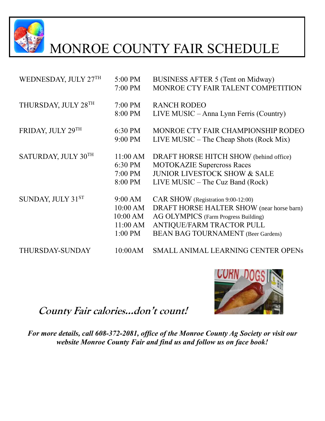

# MONROE COUNTY FAIR SCHEDULE

| WEDNESDAY, JULY 27TH | 5:00 PM   | BUSINESS AFTER 5 (Tent on Midway)         |
|----------------------|-----------|-------------------------------------------|
|                      | 7:00 PM   | MONROE CTY FAIR TALENT COMPETITION        |
| THURSDAY, JULY 28TH  | $7:00$ PM | <b>RANCH RODEO</b>                        |
|                      | 8:00 PM   | LIVE MUSIC – Anna Lynn Ferris (Country)   |
| FRIDAY, JULY 29TH    | 6:30 PM   | MONROE CTY FAIR CHAMPIONSHIP RODEO        |
|                      | 9:00 PM   | LIVE MUSIC – The Cheap Shots (Rock Mix)   |
| SATURDAY, JULY 30TH  | 11:00 AM  | DRAFT HORSE HITCH SHOW (behind office)    |
|                      | 6:30 PM   | <b>MOTOKAZIE Supercross Races</b>         |
|                      | 7:00 PM   | <b>JUNIOR LIVESTOCK SHOW &amp; SALE</b>   |
|                      | 8:00 PM   | $LIVE MUSIC - The Cuz Band (Rock)$        |
| SUNDAY, JULY 31ST    | 9:00 AM   | CAR SHOW (Registration 9:00-12:00)        |
|                      | 10:00 AM  | DRAFT HORSE HALTER SHOW (near horse barn) |
|                      | 10:00 AM  | AG OLYMPICS (Farm Progress Building)      |
|                      | 11:00 AM  | ANTIQUE/FARM TRACTOR PULL                 |
|                      | 1:00 PM   | <b>BEAN BAG TOURNAMENT</b> (Beer Gardens) |
| THURSDAY-SUNDAY      | 10:00AM   | <b>SMALL ANIMAL LEARNING CENTER OPENS</b> |

### **County Fair calories…don't count!**



*For more details, call 608-372-2081, office of the Monroe County Ag Society or visit our website Monroe County Fair and find us and follow us on face book!*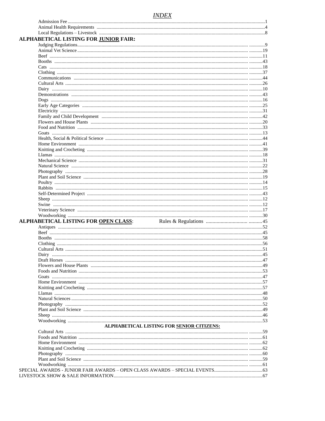#### **INDEX**

| ALPHABETICAL LISTING FOR JUNIOR FAIR:                                                                                                                                                                                          |  |
|--------------------------------------------------------------------------------------------------------------------------------------------------------------------------------------------------------------------------------|--|
|                                                                                                                                                                                                                                |  |
|                                                                                                                                                                                                                                |  |
|                                                                                                                                                                                                                                |  |
|                                                                                                                                                                                                                                |  |
|                                                                                                                                                                                                                                |  |
|                                                                                                                                                                                                                                |  |
|                                                                                                                                                                                                                                |  |
|                                                                                                                                                                                                                                |  |
|                                                                                                                                                                                                                                |  |
|                                                                                                                                                                                                                                |  |
|                                                                                                                                                                                                                                |  |
|                                                                                                                                                                                                                                |  |
|                                                                                                                                                                                                                                |  |
|                                                                                                                                                                                                                                |  |
|                                                                                                                                                                                                                                |  |
|                                                                                                                                                                                                                                |  |
|                                                                                                                                                                                                                                |  |
|                                                                                                                                                                                                                                |  |
| Health, Social & Political Science manufactured and all the set of the set of the set of the set of the set of the set of the set of the set of the set of the set of the set of the set of the set of the set of the set of t |  |
|                                                                                                                                                                                                                                |  |
|                                                                                                                                                                                                                                |  |
|                                                                                                                                                                                                                                |  |
|                                                                                                                                                                                                                                |  |
|                                                                                                                                                                                                                                |  |
|                                                                                                                                                                                                                                |  |
|                                                                                                                                                                                                                                |  |
|                                                                                                                                                                                                                                |  |
|                                                                                                                                                                                                                                |  |
|                                                                                                                                                                                                                                |  |
|                                                                                                                                                                                                                                |  |
|                                                                                                                                                                                                                                |  |
|                                                                                                                                                                                                                                |  |
|                                                                                                                                                                                                                                |  |
|                                                                                                                                                                                                                                |  |
|                                                                                                                                                                                                                                |  |
| <b>ALPHABETICAL LISTING FOR OPEN CLASS:</b>                                                                                                                                                                                    |  |
|                                                                                                                                                                                                                                |  |
|                                                                                                                                                                                                                                |  |
|                                                                                                                                                                                                                                |  |
|                                                                                                                                                                                                                                |  |
|                                                                                                                                                                                                                                |  |
|                                                                                                                                                                                                                                |  |
|                                                                                                                                                                                                                                |  |
|                                                                                                                                                                                                                                |  |
|                                                                                                                                                                                                                                |  |
|                                                                                                                                                                                                                                |  |
|                                                                                                                                                                                                                                |  |
|                                                                                                                                                                                                                                |  |
|                                                                                                                                                                                                                                |  |
|                                                                                                                                                                                                                                |  |
|                                                                                                                                                                                                                                |  |
|                                                                                                                                                                                                                                |  |
|                                                                                                                                                                                                                                |  |
|                                                                                                                                                                                                                                |  |
|                                                                                                                                                                                                                                |  |
| ALPHABETICAL LISTING FOR SENIOR CITIZENS:                                                                                                                                                                                      |  |
|                                                                                                                                                                                                                                |  |
|                                                                                                                                                                                                                                |  |
|                                                                                                                                                                                                                                |  |
|                                                                                                                                                                                                                                |  |
|                                                                                                                                                                                                                                |  |
|                                                                                                                                                                                                                                |  |
|                                                                                                                                                                                                                                |  |
|                                                                                                                                                                                                                                |  |